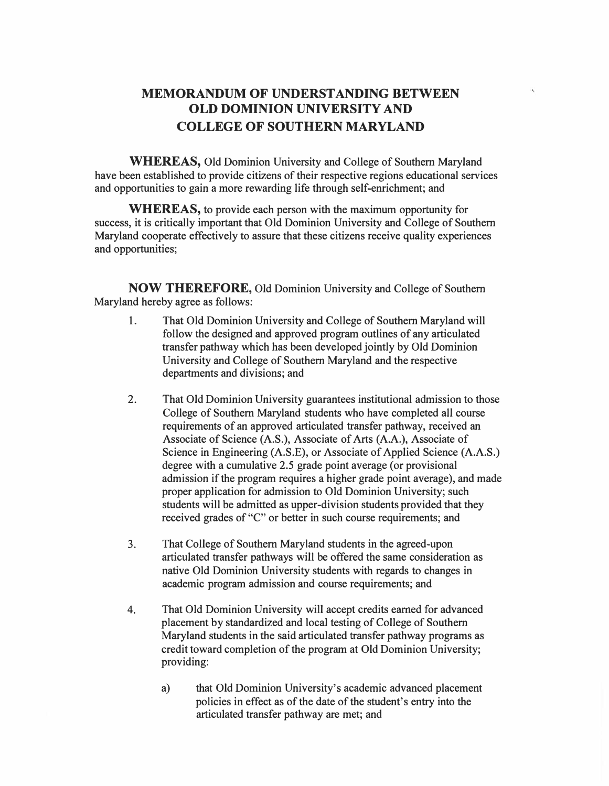## **MEMORANDUM OF UNDERSTANDING BETWEEN OLD DOMINION UNIVERSITY AND COLLEGE OF SOUTHERN MARYLAND**

**WHEREAS,** Old Dominion University and College of Southern Maryland have been established to provide citizens of their respective regions educational services and opportunities to gain a more rewarding life through self-enrichment; and

**WHEREAS,** to provide each person with the maximum opportunity for success, it is critically important that Old Dominion University and College of Southern Maryland cooperate effectively to assure that these citizens receive quality experiences and opportunities;

**NOW THEREFORE,** Old Dominion University and College of Southern Maryland hereby agree as follows:

- 1. That Old Dominion University and College of Southern Maryland will follow the designed and approved program outlines of any articulated transfer pathway which has been developed jointly by Old Dominion University and College of Southern Maryland and the respective departments and divisions; and
- 2. That Old Dominion University guarantees institutional admission to those College of Southern Maryland students who have completed all course requirements of an approved articulated transfer pathway, received an Associate of Science (A.S.), Associate of Arts (A.A.), Associate of Science in Engineering (A.S.E), or Associate of Applied Science (A.A.S.) degree with a cumulative 2.5 grade point average (or provisional admission if the program requires a higher grade point average), and made proper application for admission to Old Dominion University; such students will be admitted as upper-division students provided that they received grades of "C" or better in such course requirements; and
- 3. That College of Southern Maryland students in the agreed-upon articulated transfer pathways will be offered the same consideration as native Old Dominion University students with regards to changes in academic program admission and course requirements; and
- 4. That Old Dominion University will accept credits earned for advanced placement by standardized and local testing of College of Southern Maryland students in the said articulated transfer pathway programs as credit toward completion of the program at Old Dominion University; providing:
	- a) that Old Dominion University's academic advanced placement policies in effect as of the date of the student's entry into the articulated transfer pathway are met; and